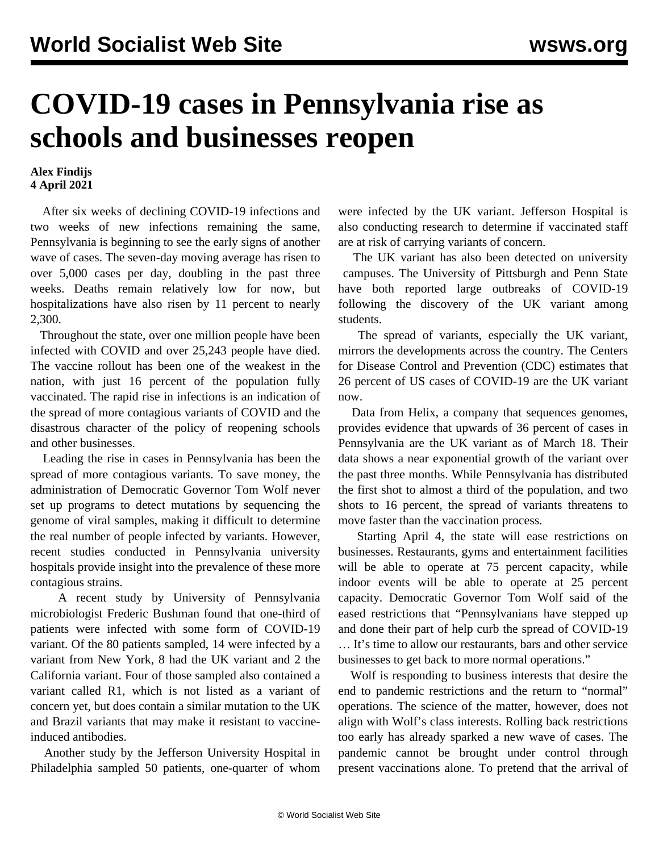## **COVID-19 cases in Pennsylvania rise as schools and businesses reopen**

## **Alex Findijs 4 April 2021**

 After six weeks of declining COVID-19 infections and two weeks of new infections remaining the same, Pennsylvania is beginning to see the early signs of another wave of cases. The seven-day moving average has risen to over 5,000 cases per day, doubling in the past three weeks. Deaths remain relatively low for now, but hospitalizations have also risen by 11 percent to nearly 2,300.

 Throughout the state, over one million people have been infected with COVID and over 25,243 people have died. The vaccine rollout has been one of the weakest in the nation, with just 16 percent of the population fully vaccinated. The rapid rise in infections is an indication of the spread of more contagious variants of COVID and the disastrous character of the policy of reopening schools and other businesses.

 Leading the rise in cases in Pennsylvania has been the spread of more contagious variants. To save money, the administration of Democratic Governor Tom Wolf never set up programs to detect mutations by sequencing the genome of viral samples, making it difficult to determine the real number of people infected by variants. However, recent studies conducted in Pennsylvania university hospitals provide insight into the prevalence of these more contagious strains.

 A recent study by University of Pennsylvania microbiologist Frederic Bushman found that one-third of patients were infected with some form of COVID-19 variant. Of the 80 patients sampled, 14 were infected by a variant from New York, 8 had the UK variant and 2 the California variant. Four of those sampled also contained a variant called R1, which is not listed as a variant of concern yet, but does contain a similar mutation to the UK and Brazil variants that may make it resistant to vaccineinduced antibodies.

 Another study by the Jefferson University Hospital in Philadelphia sampled 50 patients, one-quarter of whom were infected by the UK variant. Jefferson Hospital is also conducting research to determine if vaccinated staff are at risk of carrying variants of concern.

 The UK variant has also been detected on [university](/en/articles/2021/04/02/pitt-a02.html) campuses. The University of Pittsburgh and Penn State have both reported large outbreaks of COVID-19 following the discovery of the UK variant among students.

 The spread of variants, especially the UK variant, mirrors the developments across the country. The Centers for Disease Control and Prevention (CDC) estimates that 26 percent of US cases of COVID-19 are the UK variant now.

 Data from Helix, a company that sequences genomes, provides evidence that upwards of 36 percent of cases in Pennsylvania are the UK variant as of March 18. Their data shows a near exponential growth of the variant over the past three months. While Pennsylvania has distributed the first shot to almost a third of the population, and two shots to 16 percent, the spread of variants threatens to move faster than the vaccination process.

 Starting April 4, the state will ease restrictions on businesses. Restaurants, gyms and entertainment facilities will be able to operate at 75 percent capacity, while indoor events will be able to operate at 25 percent capacity. Democratic Governor Tom Wolf said of the eased restrictions that "Pennsylvanians have stepped up and done their part of help curb the spread of COVID-19 … It's time to allow our restaurants, bars and other service businesses to get back to more normal operations."

 Wolf is responding to business interests that desire the end to pandemic restrictions and the return to "normal" operations. The science of the matter, however, does not align with Wolf's class interests. Rolling back restrictions too early has already sparked a new wave of cases. The pandemic cannot be brought under control through present vaccinations alone. To pretend that the arrival of